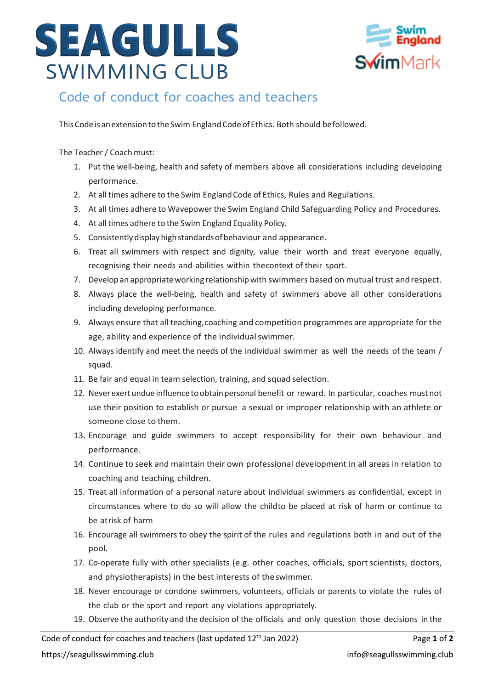## SEAGULLS **SWIMMING CLUB**



## Code of conduct for coaches and teachers

This Code is an extension to the Swim England Code of Ethics. Both should befollowed.

The Teacher / Coach must:

- 1. Put the well-being, health and safety of members above all considerations including developing performance.
- 2. At all times adhere to the Swim EnglandCode of Ethics, Rules and Regulations.
- 3. At all times adhere to Wavepower the Swim England Child Safeguarding Policy and Procedures.
- 4. At all times adhere to the Swim England Equality Policy.
- 5. Consistentlydisplayhighstandardsofbehaviour and appearance.
- 6. Treat all swimmers with respect and dignity, value their worth and treat everyone equally, recognising their needs and abilities within thecontext of their sport.
- 7. Develop an appropriate working relationship with swimmers based on mutual trust and respect.
- 8. Always place the well-being, health and safety of swimmers above all other considerations including developing performance.
- 9. Always ensure that all teaching,coaching and competition programmes are appropriate for the age, ability and experience of the individual swimmer.
- 10. Always identify and meet the needs of the individual swimmer as well the needs of the team / squad.
- 11. Be fair and equal in team selection, training, and squad selection.
- 12. Neverexertundueinfluencetoobtainpersonal benefit or reward. In particular, coaches mustnot use their position to establish or pursue a sexual or improper relationship with an athlete or someone close to them.
- 13. Encourage and guide swimmers to accept responsibility for their own behaviour and performance.
- 14. Continue to seek and maintain their own professional development in all areas in relation to coaching and teaching children.
- 15. Treat all information of a personal nature about individual swimmers as confidential, except in circumstances where to do so will allow the childto be placed at risk of harm or continue to be atrisk of harm
- 16. Encourage all swimmers to obey the spirit of the rules and regulations both in and out of the pool.
- 17. Co-operate fully with other specialists (e.g. other coaches, officials, sport scientists, doctors, and physiotherapists) in the best interests of theswimmer.
- 18. Never encourage or condone swimmers, volunteers, officials or parents to violate the rules of the club or the sport and report any violations appropriately.
- 19. Observe the authority and the decision of the officials and only question those decisions in the